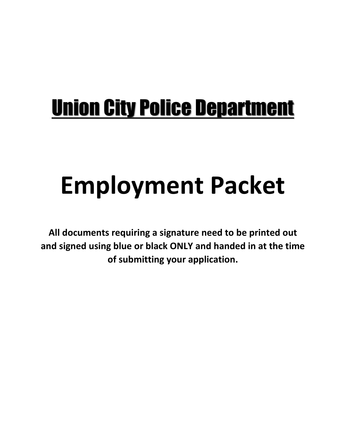# Union City Police Department

# **Employment Packet**

**All documents requiring a signature need to be printed out and signed using blue or black ONLY and handed in at the time of submitting your application.**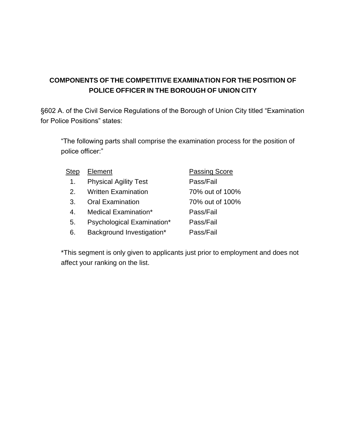#### **COMPONENTS OF THE COMPETITIVE EXAMINATION FOR THE POSITION OF POLICE OFFICER IN THE BOROUGH OF UNION CITY**

§602 A. of the Civil Service Regulations of the Borough of Union City titled "Examination for Police Positions" states:

"The following parts shall comprise the examination process for the position of police officer:"

| Step    | Element                      | <b>Passing Score</b> |
|---------|------------------------------|----------------------|
| 1.      | <b>Physical Agility Test</b> | Pass/Fail            |
| $2_{-}$ | <b>Written Examination</b>   | 70% out of 100%      |
| 3.      | <b>Oral Examination</b>      | 70% out of 100%      |
| 4.      | Medical Examination*         | Pass/Fail            |
| 5.      | Psychological Examination*   | Pass/Fail            |
| 6.      | Background Investigation*    | Pass/Fail            |
|         |                              |                      |

\*This segment is only given to applicants just prior to employment and does not affect your ranking on the list.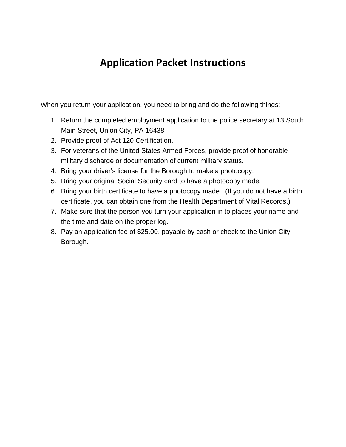### **Application Packet Instructions**

When you return your application, you need to bring and do the following things:

- 1. Return the completed employment application to the police secretary at 13 South Main Street, Union City, PA 16438
- 2. Provide proof of Act 120 Certification.
- 3. For veterans of the United States Armed Forces, provide proof of honorable military discharge or documentation of current military status.
- 4. Bring your driver's license for the Borough to make a photocopy.
- 5. Bring your original Social Security card to have a photocopy made.
- 6. Bring your birth certificate to have a photocopy made. (If you do not have a birth certificate, you can obtain one from the Health Department of Vital Records.)
- 7. Make sure that the person you turn your application in to places your name and the time and date on the proper log.
- 8. Pay an application fee of \$25.00, payable by cash or check to the Union City Borough.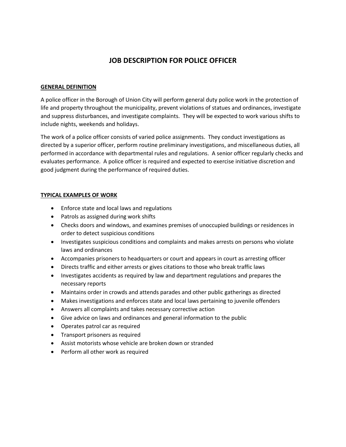#### **JOB DESCRIPTION FOR POLICE OFFICER**

#### **GENERAL DEFINITION**

A police officer in the Borough of Union City will perform general duty police work in the protection of life and property throughout the municipality, prevent violations of statues and ordinances, investigate and suppress disturbances, and investigate complaints. They will be expected to work various shifts to include nights, weekends and holidays.

The work of a police officer consists of varied police assignments. They conduct investigations as directed by a superior officer, perform routine preliminary investigations, and miscellaneous duties, all performed in accordance with departmental rules and regulations. A senior officer regularly checks and evaluates performance. A police officer is required and expected to exercise initiative discretion and good judgment during the performance of required duties.

#### **TYPICAL EXAMPLES OF WORK**

- Enforce state and local laws and regulations
- Patrols as assigned during work shifts
- Checks doors and windows, and examines premises of unoccupied buildings or residences in order to detect suspicious conditions
- Investigates suspicious conditions and complaints and makes arrests on persons who violate laws and ordinances
- Accompanies prisoners to headquarters or court and appears in court as arresting officer
- Directs traffic and either arrests or gives citations to those who break traffic laws
- Investigates accidents as required by law and department regulations and prepares the necessary reports
- Maintains order in crowds and attends parades and other public gatherings as directed
- Makes investigations and enforces state and local laws pertaining to juvenile offenders
- Answers all complaints and takes necessary corrective action
- Give advice on laws and ordinances and general information to the public
- Operates patrol car as required
- Transport prisoners as required
- Assist motorists whose vehicle are broken down or stranded
- Perform all other work as required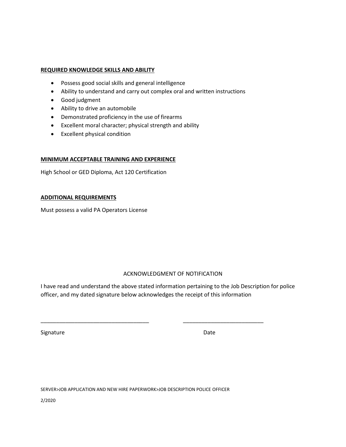#### **REQUIRED KNOWLEDGE SKILLS AND ABILITY**

- Possess good social skills and general intelligence
- Ability to understand and carry out complex oral and written instructions
- Good judgment
- Ability to drive an automobile
- Demonstrated proficiency in the use of firearms
- Excellent moral character; physical strength and ability
- Excellent physical condition

#### **MINIMUM ACCEPTABLE TRAINING AND EXPERIENCE**

High School or GED Diploma, Act 120 Certification

#### **ADDITIONAL REQUIREMENTS**

Must possess a valid PA Operators License

#### ACKNOWLEDGMENT OF NOTIFICATION

I have read and understand the above stated information pertaining to the Job Description for police officer, and my dated signature below acknowledges the receipt of this information

\_\_\_\_\_\_\_\_\_\_\_\_\_\_\_\_\_\_\_\_\_\_\_\_\_\_\_\_\_\_\_\_\_\_\_ \_\_\_\_\_\_\_\_\_\_\_\_\_\_\_\_\_\_\_\_\_\_\_\_\_\_

Signature Date Date

SERVER>JOB APPLICATION AND NEW HIRE PAPERWORK>JOB DESCRIPTION POLICE OFFICER

2/2020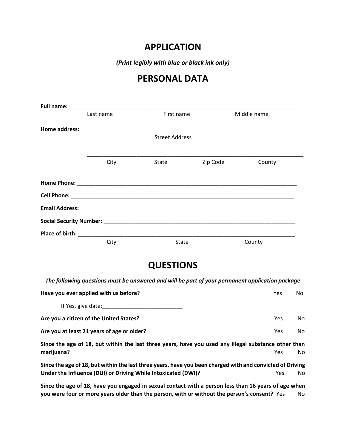#### **APPLICATION**

*(Print legibly with blue or black ink only)*

#### **PERSONAL DATA**

| Last name | First name            |          | Middle name |  |
|-----------|-----------------------|----------|-------------|--|
|           |                       |          |             |  |
|           | <b>Street Address</b> |          |             |  |
|           |                       |          |             |  |
| City      | State                 | Zip Code | County      |  |
|           |                       |          |             |  |
|           |                       |          |             |  |
|           |                       |          |             |  |
|           |                       |          |             |  |
|           |                       |          |             |  |
| City      | <b>State</b>          |          | County      |  |

#### **QUESTIONS**

*The following questions must be answered and will be part of your permanent application package*

| Have you ever applied with us before?                                                              |     | No. |
|----------------------------------------------------------------------------------------------------|-----|-----|
| If Yes, give date:                                                                                 |     |     |
| Are you a citizen of the United States?                                                            | Yes | No  |
| Are you at least 21 years of age or older?                                                         | Yes | No  |
| Cinee the ses of 10 but within the leat three years hous you want and clearly cubetance of the sea |     |     |

**Since the age of 18, but within the last three years, have you used any illegal substance other than marijuana?** Yes No

**Since the age of 18, but within the last three years, have you been charged with and convicted of Driving**  Under the Influence (DUI) or Driving While Intoxicated (DWI)? <br>
Yes No

**Since the age of 18, have you engaged in sexual contact with a person less than 16 years of age when you were four or more years older than the person, with or without the person's consent?** Yes No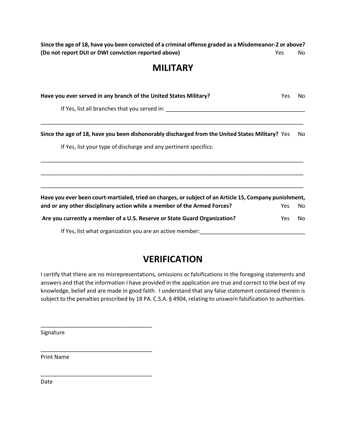**Since the age of 18, have you been convicted of a criminal offense graded as a Misdemeanor-2 or above? (Do not report DUI or DWI conviction reported above) No State State State State State State State State State State State State State State State State State State State State State State State State State State State S** 

#### **MILITARY**

| Have you ever served in any branch of the United States Military?                                      |      |     |
|--------------------------------------------------------------------------------------------------------|------|-----|
| If Yes, list all branches that you served in:                                                          |      |     |
| Since the age of 18, have you been dishonorably discharged from the United States Military? Yes        |      | No  |
| If Yes, list your type of discharge and any pertinent specifics:                                       |      |     |
|                                                                                                        |      |     |
|                                                                                                        |      |     |
| Have you ever been court-martialed, tried on charges, or subject of an Article 15, Company punishment, |      |     |
| and or any other disciplinary action while a member of the Armed Forces?                               | Yes  | No. |
| Are you currently a member of a U.S. Reserve or State Guard Organization?                              | Yes. | No. |
| If Yes, list what organization you are an active member:                                               |      |     |

#### **VERIFICATION**

I certify that there are no misrepresentations, omissions or falsifications in the foregoing statements and answers and that the information I have provided in the application are true and correct to the best of my knowledge, belief and are made in good faith. I understand that any false statement contained therein is subject to the penalties prescribed by 18 PA. C.S.A. § 4904, relating to unsworn falsification to authorities.

Signature

\_\_\_\_\_\_\_\_\_\_\_\_\_\_\_\_\_\_\_\_\_\_\_\_\_\_\_\_\_\_\_\_\_\_\_\_

\_\_\_\_\_\_\_\_\_\_\_\_\_\_\_\_\_\_\_\_\_\_\_\_\_\_\_\_\_\_\_\_\_\_\_\_

\_\_\_\_\_\_\_\_\_\_\_\_\_\_\_\_\_\_\_\_\_\_\_\_\_\_\_\_\_\_\_\_\_\_\_\_

Print Name

Date